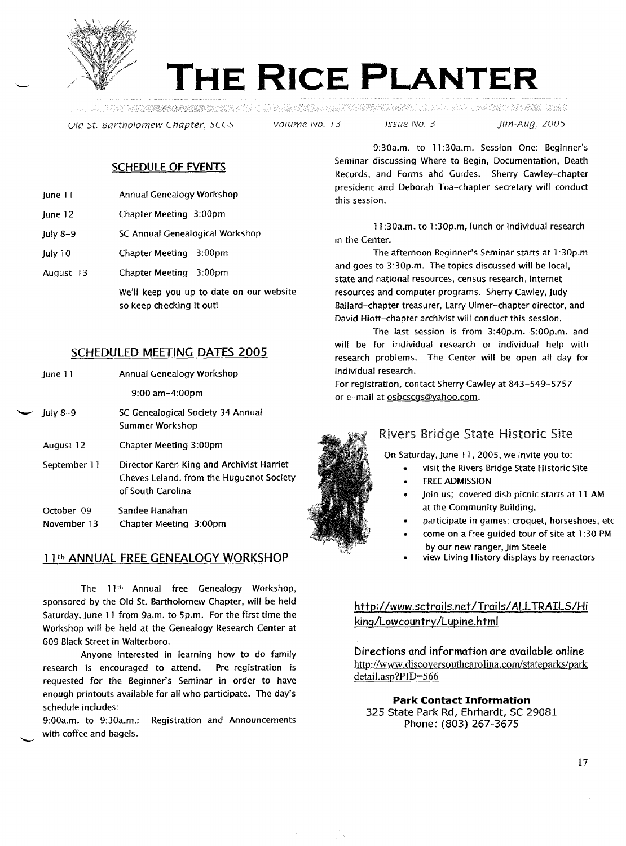

# **THE RICE PLANTER**

Uta st. Bartholomew Chapter, SCGS volume No. 13 SSUE No. 3 Jun-Aug, 2005

#### SCHEDULE OF EVENTS

- June 11 Annual Genealogy Workshop
- June 12 Chapter Meeting 3:00pm
- July 8-9 SC Annual Genealogical Workshop
- July 10 Chapter Meeting 3:00pm
- August 13 Chapter Meeting 3:00pm

We'lf keep you up to date on our website so keep checking it out!

# SCHEDULED MEETING DATES 2005

| lune 11                   | Annual Genealogy Workshop                                                                                  |
|---------------------------|------------------------------------------------------------------------------------------------------------|
|                           | $9:00$ am $-4:00$ pm                                                                                       |
| $\sim$ July 8-9           | SC Genealogical Society 34 Annual<br>Summer Workshop                                                       |
| August 12                 | Chapter Meeting 3:00pm                                                                                     |
| September 11              | Director Karen King and Archivist Harriet<br>Cheves Leland, from the Huguenot Society<br>of South Carolina |
| October 09<br>November 13 | Sandee Hanahan<br>Chapter Meeting 3:00pm                                                                   |

#### 11th ANNUAL FREE GENEALOGY WORKSHOP

The 11th Annual free Genealogy Workshop, sponsored by the Old St. Bartholomew Chapter, will be held Saturday, June 11 from 9a.m. to 5p.m. For the first time the Workshop will be held at the Genealogy Research Center at 609 Black Street in Walterboro.

Anyone interested in learning how to do family research is encouraged to attend. Pre-registration is requested for the Beginner's Seminar in order to have enough printouts available for all who participate. The day's schedule includes:

9:00a.m. to 9:30a.m.: Registration and Announcements with coffee and bagels.

9:30a.m. to 11:30a.m. Session One: Beginner's Seminar discussing Where to Begin, Documentation, Death Records, and Forms and Guides. Sherry Cawley-chapter president and Deborah Toa-chapter secretary will conduct this session.

11:30a.m. to 1:30p.m, lunch or individual research in the Center.

The afternoon Beginner's Seminar starts at 1:30p.m and goes to 3:30p.m. The topics discussed will be local, state and national resources, census research, Internet resources and computer programs. Sherry Cawley, Judy Ballard-chapter treasurer, Larry Ulmer-chapter director, and David Hiott-chapter archivist will conduct this session.

The last session is from 3:40p.m.-5:00p.m. and wilf be for individual research or individual help with research problems. The Center will be open all day for individual research.

For registration, contact Sherry Cawley at 843-549-5757 or e-mail at osbcscgs@yahoo.com.



# Rivers Bridge State Historic Site

On Saturday, June 11,2005, we invite you to:

- visit the Rivers Bridge State Historic Site
- **FREE ADMISSION**
- Join us; covered dish picnic starts at 11 AM at the Community Building.
- participate in games: croquet, horseshoes, etc
- come on a free guided tour of site at 1:30 PM by our new ranger, Jim Steele
- view Living History displays by reenactors

http://www.sctrails.net/Trails/ ALLTRAILS/Hi king/Lowcountry /Lupine.html

Directions and information are available online http://www.discoversouthcarolina.com/stateparks/park detail.asp?PID=566

**Park Contact Information** 325 State Park Rd, Ehrhardt, SC 29081 Phone: (803) 267-3675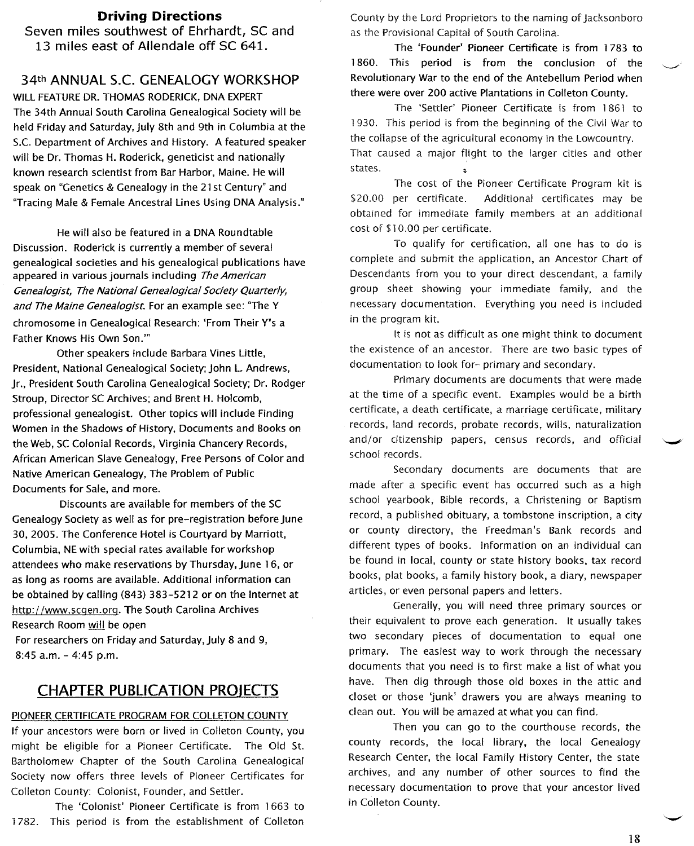#### **Driving Directions**

Seven miles southwest of Ehrhardt, SC and 13 miles east of Allendale off SC 641.

## 34th ANNUAL S.c. GENEALOGY WORKSHOP

WILL FEATURE DR. THOMAS RODERICK, DNA EXPERT The 34th Annual South Carolina Genealogical Society will be held Friday and Saturday, July 8th and 9th in Columbia at the S.c. Department of Archives and History. A featured speaker will be Dr. Thomas H. Roderick, geneticist and nationally known research scientist from Bar Harbor, Maine. He will speak on "Genetics & Genealogy in the 21 st Century" and "Tracing Male & Female Ancestral Lines Using DNA Analysis."

He will also be featured in a DNA Roundtable Discussion. Roderick is currently a member of several genealogical societies and his genealogical publications have appeared in various journals including The American Genealogist, The National Genealogical Society Quarterly, and The Maine Genealogist. For an example see: "The Y chromosome in Genealogical Research: 'From Their y's a Father Knows His Own Son.'''

Other speakers include Barbara Vines Little, President, National Genealogical Society; John L. Andrews, Jr., President South Carolina Genealogical Society; Dr. Rodger Stroup, Director SC Archives; and Brent H. Holcomb, professional genealogist. Other topics will include Finding Women in the Shadows of History, Documents and Books on the Web, SC Colonial Records, Virginia Chancery Records, African American Slave Genealogy, Free Persons of Color and Native American Genealogy, The Problem of Public Documents for Sale, and more.

Discounts are available for members of the SC Genealogy Society as well as for pre-registration before June 30,2005. The Conference Hotel is Courtyard by Marriott, Columbia, NE with special rates available for workshop attendees who make reservations by Thursday, June 16, or as long as rooms are available. Additional information can be obtained by calling (843) 383-5212 or on the Internet at htto://www.scqen.org. The South Carolina Archives Research Room will be open

For researchers on Friday and Saturday, July 8 and 9, 8:45 a.m. - 4:45 p.m.

## **CHAPTER PUBLICATION PROJECTS**

#### PIONEER CERTIFICATE PROGRAM FOR COLLETON COUNTY

If your ancestors were born or lived in Colleton County, you might be eligible for a Pioneer Certificate. The Old St. Bartholomew Chapter of the South Carolina Genealogical Society now offers three levels of Pioneer Certificates for Colleton County: Colonist, Founder, and Settler.

The 'Colonist' Pioneer Certificate is from 1663 to 1782. This period is from the establishment of Colleton County by the Lord Proprietors to the naming of Jacksonboro as the Provisional Capital of South Caroiina.

The 'Founder' Pioneer Certificate is from 1783 to 1860. This period is from the conclusion of the Revolutionary War to the end of the Antebellum Period when there were over 200 active Plantations in Colleton County.

The 'Settler' Pioneer Certificate is from 1861 to 1930. This period is from the beginning of the Civil War to the collapse of the agricultural economy in the Lowcountry. That caused a major flight to the larger cities and other states.

The cost of the Pioneer Certificate Program kit is \$20.00 per certificate. Additional certificates may be obtained for immediate family members at an additional cost of \$10.00 per certificate.

To qualify for certification, all one has to do is complete and submit the application, an Ancestor Chart of Descendants from you to your direct descendant, a family group sheet showing your immediate family, and the necessary documentation. Everything you need is included in the program kit.

It is not as difficult as one might think to document the existence of an ancestor. There are two basic types of documentation to look for- primary and secondary.

Primary documents are documents that were made at the time of a specific event. Examples would be a birth certificate, a death certificate, a marriage certificate, military records, land records, probate records, wills, naturalization and/or citizenship papers, census records, and official school records.

Secondary documents are documents that are made after a specific event has occurred such as a high school yearbook, Bible records, a Christening or Baptism record, a published obituary, a tombstone inscription, a city or county directory, the Freedman's Bank records and different types of books. Information on an individual can be found in local, county or state history books, tax record books, plat books, a family history book, a diary, newspaper articles, or even personal papers and letters.

Generally, you will need three primary sources or their equivalent to prove each generation. It usually takes two secondary pieces of documentation to equal one primary. The easiest way to work through the necessary documents that you need is to first make a list of what you have. Then dig through those old boxes in the attic and closet or those 'junk' drawers you are always meaning to clean out. You will be amazed at what you can find.

Then you can go to the courthouse records, the county records, the local library, the local Genealogy Research Center, the local Family History Center, the state archives, and any number of other sources to find the necessary documentation to prove that your ancestor lived in Colleton County.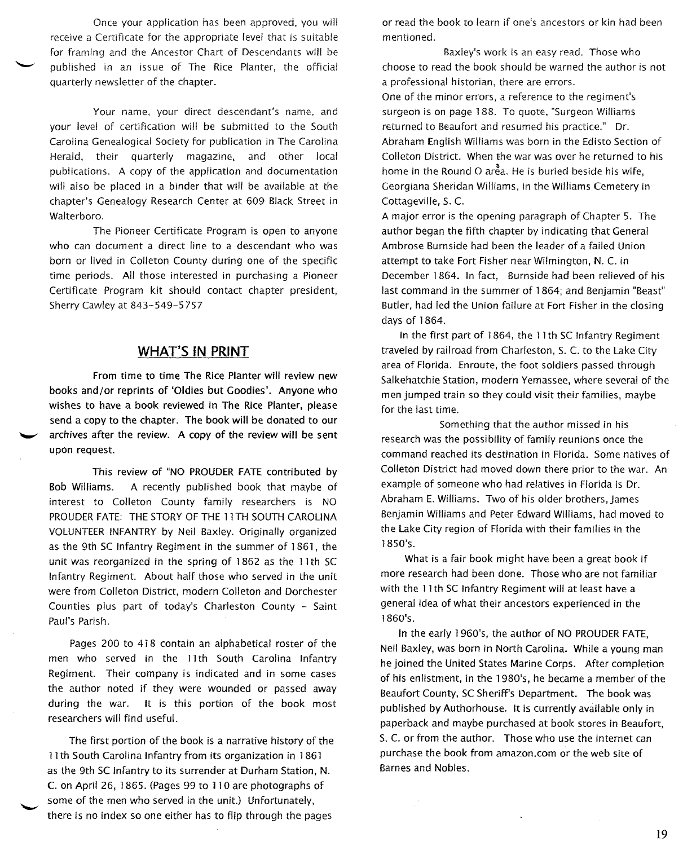Once your application has been approved, you will receive a Certificate for the appropriate level that is suitable for framing and the Ancestor Chart of Descendants will be published in an issue of The Rice Planter, the official quarterly newsletter of the chapter.

Your name, your direct descendant's name, and your level of certification will be submitted to the South Carolina Genealogical Society for publication in The Carolina Herald, their quarterly magazine, and other local publications. A copy of the application and documentation will also be placed in a binder that will be available at the chapter's Genealogy Research Center at 609 Black Street in Walterboro.

The Pioneer Certificate Program is open to anyone who can document a direct line to a descendant who was born or lived in Colleton County during one of the specific time periods. All those interested in purchasing a Pioneer Certificate Program kit should contact chapter president, Sherry Cawley at 843-549-5757

## **WHAT'S IN PRINT**

From time to time The Rice Planter will review new books and/or reprints of 'Oldies but Goodies'. Anyone who wishes to have a book reviewed in The Rice Planter, please send a copy to the chapter. The book will be donated to our archives after the review. A copy of the review will be sent upon request.

This review of "NO PROUDER FATE contributed by Bob Williams. A recently published book that maybe of interest to Colleton County family researchers is NO PROUDER FATE: THE STORY OF THE 11TH SOUTH CAROLINA VOLUNTEER INFANTRY by Neil Baxley. Originally organized as the 9th SC Infantry Regiment in the summer of 1861, the unit was reorganized in the spring of 1862 as the 11th SC Infantry Regiment. About half those who served in the unit were from Colleton District, modern Colleton and Dorchester Counties plus part of today's Charleston County - Saint Paul's Parish.

Pages 200 to 418 contain an alphabetical roster of the men who served in the 11th South Carolina Infantry Regiment. Their company is indicated and in some cases the author noted if they were wounded or passed away during the war. It is this portion of the book most researchers will find useful.

The first portion of the book is a narrative history of the 11th South Carolina Infantry from its organization in 1861 as the 9th SC Infantry to its surrender at Durham Station, N. C. on April 26, 1865. (Pages 99 to 1] 0 are photographs of some of the men who served in the unit.) Unfortunately, there is no index so one either has to flip through the pages

or read the book to learn if one's ancestors or kin had been mentioned.

Baxley's work is an easy read. Those who choose to read the book should be warned the author is not a professional historian, there are errors.

One of the minor errors, a reference to the regiment's surgeon is on page 188. To quote, "Surgeon Williams returned to Beaufort and resumed his practice." Dr. Abraham English Williams was born in the Edisto Section of Colleton District. When the war was over he returned to his home in the Round O area. He is buried beside his wife, Georgiana Sheridan Williams, in the Williams Cemetery in Cottageville, S. C.

A major error is the opening paragraph of Chapter 5. The author began the fifth chapter by indicating that General Ambrose Burnside had been the leader of a failed Union attempt to take Fort Fisher near Wilmington, N. C. in December 1864. In fact, Burnside had been relieved of his last command in the summer of 1864; and Benjamin "Beast" Butler, had led the Union failure at Fort Fisher in the closing days of 1864.

In the first part of 1864, the 11th SC Infantry Regiment traveled by railroad from Charleston, S. C. to the Lake City area of Florida. Enroute, the foot soldiers passed through Salkehatchie Station, modern Yemassee, where several of the men jumped train so they could visit their families, maybe for the last time.

Something that the author missed in his research was the possibility of family reunions once the command reached its destination in Florida. Some natives of Colleton District had moved down there prior to the war. An example of someone who had relatives in Florida is Dr. Abraham E. Williams. Two of his older brothers, James Benjamin Williams and Peter Edward Williams, had moved to the Lake City region of Florida with their families in the 1850's.

What is a fair book might have been a great book if more research had been done. Those who are not familiar with the 11th SC Infantry Regiment will at least have a general idea of what their ancestors experienced in the 1860's.

In the early 1960's, the author of NO PROUDER FATE, Neil Baxley, was born in North Carolina. While a young man he joined the United States Marine Corps. After completion of his enlistment, in the 1980's, he became a member of the Beaufort County, SC Sheriff's Department. The book was published by Authorhouse. It is currently available only in paperback and maybe purchased at book stores in Beaufort, S. C. or from the author. Those who use the internet can purchase the book from amazon.com or the web site of Barnes and Nobles.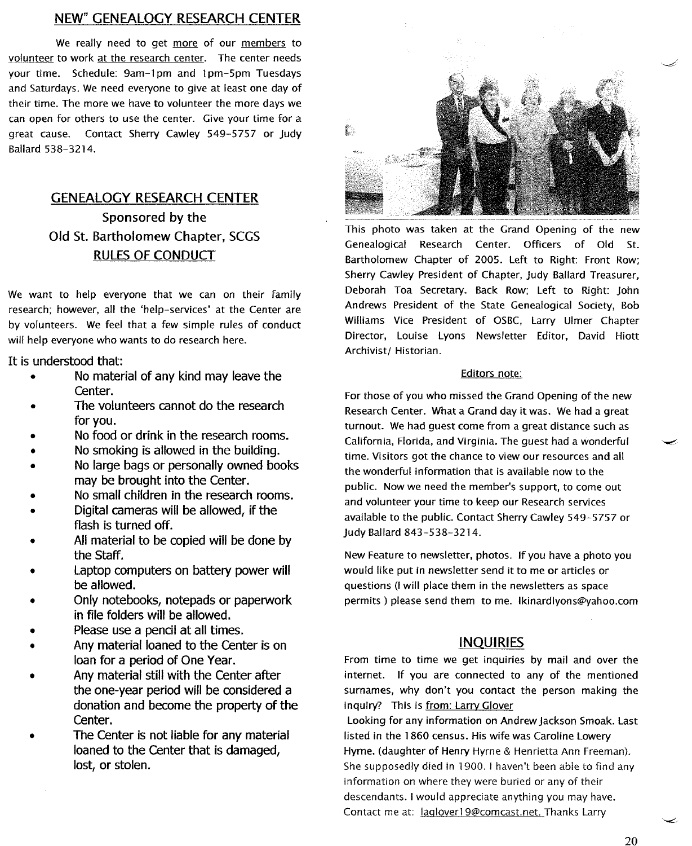#### NEW" GENEALOGY RESEARCH CENTER

We really need to get more of our members to volunteer to work at the research center. The center needs your time. Schedule: 9am-l pm and 1pm-5pm Tuesdays and Saturdays. We need everyone to give at least one day of their time. The more we have to volunteer the more days we can open for others to use the center. Give your time for a great cause. Contact Sherry Cawley 549-5757 or Judy Ballard 538-3214.

# GENEALOGY RESEARCH CENTER Sponsored by the Old St. Bartholomew Chapter, SCGS RULES OF CONDUCT

We want to help everyone that we can on their family research; however, all the 'help-services' at the Center are by volunteers. We feel that a few simple rules of conduct will help everyone who wants to do research here.

It is understood that:

- No material of any kind may leave the Center.
- The volunteers cannot do the research for you.
- No food or drink in the research rooms.
- No smoking is allowed in the building.
- No large bags or personally owned books may be brought into the Center.
- No small children in the research rooms.
- Digital cameras will be allowed, if the flash is turned off.
- All material to be copied will be done by the Staff.
- Laptop computers on battery power will be allowed.
- Only notebooks, notepads or paperwork in file folders will be allowed.
- Please use a pencil at all times.
- Any material loaned to the Center is on loan for a period of One Year.
- Any material still with the Center after the one-year period will be considered a donation and become the property of the Center.
- The Center is not liable for any material loaned to the Center that is damaged, lost, or stolen.



This photo was taken at the Grand Opening of the new Genealogical Research Center. Officers of Old St. Bartholomew Chapter of 2005. Left to Right: Front Row; Sherry Cawley President of Chapter, Judy Ballard Treasurer, Deborah Toa Secretary. Back Row; Left to Right: John Andrews President of the State Genealogical Society, Bob Williams Vice President of OSBC, Larry Ulmer Chapter Director, Louise Lyons Newsletter Editor, David Hiott Archivist/ Historian.

#### Editors note:

For those of you who missed the Grand Opening of the new Research Center. What a Grand day it was. We had a great turnout. We had guest come from a great distance such as California, Florida, and Virginia. The guest had a wonderful time. Visitors got the chance to view our resources and all the wonderful information that is available now to the public. Now we need the member's support, to come out and volunteer your time to keep our Research services available to the public. Contact Sherry Cawley 549-5757 or Judy Ballard 843-538-3214.

New Feature to newsletter, photos. If you have a photo you would like put in newsletter send it to me or articles or questions (I will place them in the newsletters as space permits) please send them to me. Ikinardlyons@yahoo.com

#### INQUIRIES

From time to time we get inquiries by mail and over the internet. If you are connected to any of the mentioned surnames, why don't you contact the person making the inquiry? This is from: Larry Glover

Looking for any information on Andrew Jackson Smoak. Last listed in the 1860 census. His wife was Caroline Lowery Hyrne. (daughter of Henry Hyrne & Henrietta Ann Freeman). She supposedly died in 1900. I haven't been able to find any information on where they were buried or any of their descendants. I would appreciate anything you may have. Contact me at: laqlover19@comcast.net. Thanks Larry

20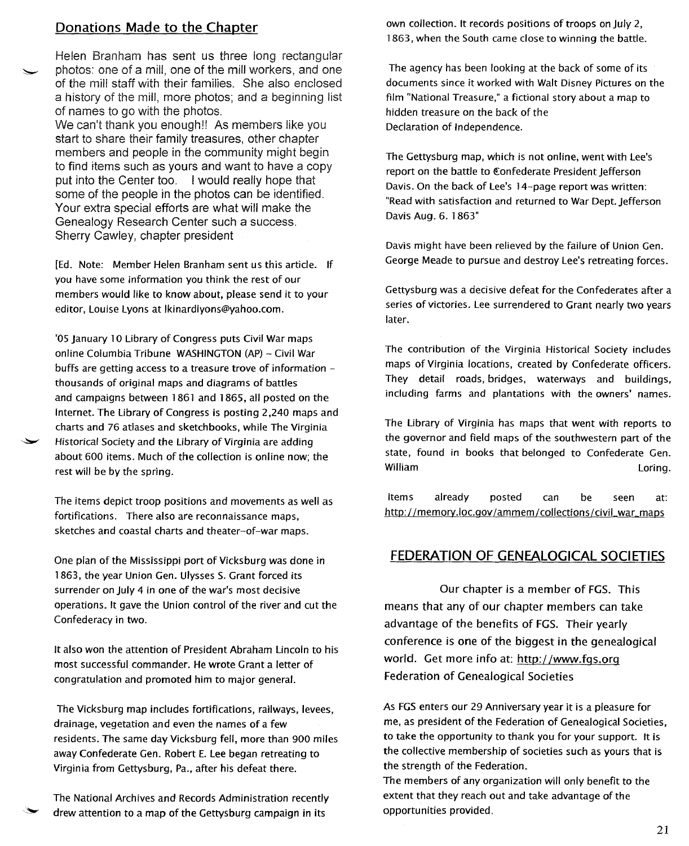## **Donations Made to the Chapter**

Helen Branham has sent us three long rectangular ~ photos: one of a mill, one of the mill workers, and one of the mill staff with their families. She also enclosed a history of the mill, more photos; and a beginning list of names to go with the photos.

We can't thank you enough!! As members like you start to share their family treasures, other chapter members and people in the community might begin to find items such as yours and want to have a copy put into the Center too. I would really hope that some of the people in the photos can be identified. Your extra special efforts are what will make the Genealogy Research Center such a success. Sherry Cawley, chapter president

[Ed. Note: Member Helen Branham sent us this article. If you have some information you think the rest of our members would like to know about, please send it to your editor, Louise Lyons at Ikinardlyons@yahoo.com.

'OS January 10 Library of Congress puts Civil War maps online Columbia Tribune WASHINGTON (AP) - Civil War buffs are getting access to a treasure trove of information thousands of original maps and diagrams of battles and campaigns between 1861 and 1865, all posted on the Internet. The Library of Congress is posting 2,240 maps and charts and 76 atlases and sketchbooks, while The Virginia Historical Society and the Library of Virginia are adding about 600 items. Much of the collection is online now; the rest will be by the spring.

The items depict troop positions and movements as well as fortifications. There also are reconnaissance maps, sketches and coastal charts and theater-of-war maps.

One plan of the Mississippi port of Vicksburg was done in 1863, the year Union Gen. Ulysses S. Grant forced its surrender on July 4 in one of the war's most decisive operations. It gave the Union control of the river and cut the Confederacy in two.

It also won the attention of President Abraham Lincoln to his most successful commander. He wrote Grant a letter of congratulation and promoted him to major general.

The Vicksburg map includes fortifications, railways, levees, drainage, vegetation and even the names of a few residents. The same day Vicksburg fell, more than 900 miles away Confederate Gen. Robert E. Lee began retreating to Virginia from Gettysburg, Pa., after his defeat there.

The National Archives and Records Administration recently drew attention to a map of the Gettysburg campaign in its

own collection. It records positions of troops on July 2, 1863, when the South came close to winning the battle.

The agency has been looking at the back of some of its documents since it worked with Walt Disney Pictures on the film "National Treasure," a fictional story about a map to hidden treasure on the back of the Declaration of Independence.

The Gettysburg map, which is not online, went with Lee's report on the battle to Confederate President Jefferson Davis. On the back of Lee's 14-page report was written: "Read with satisfaction and returned to War Dept. Jefferson Davis Aug. 6. 1863"

Davis might have been relieved by the failure of Union Gen. George Meade to pursue and destroy Lee's retreating forces.

Gettysburg was a decisive defeat for the Confederates after a series of victories. Lee surrendered to Grant nearly two years later.

The contribution of the Virginia Historical Society includes maps of Virginia locations, created by Confederate officers. They detail roads, bridges, waterways and buildings, including farms and plantations with the owners' names.

The Library of Virginia has maps that went with reports to the governor and field maps of the southwestern part of the state, found in books that belonged to Confederate Gen. William Loring.

Items already posted can be seen at: http://memory.loc.gov/ammem/collections/civil\_war\_maps

#### **FEDERATION OF GENEALOGICAL SOCIETIES**

Our chapter is a member of FGS. This means that any of our chapter members can take advantage of the benefits of FGS. Their yearly conference is one of the biggest in the genealogical world. Get more info at: http://www.fqs.orq Federation of Genealogical Societies

As FGS enters our 29 Anniversary year it is a pleasure for me, as president of the Federation of Genealogical Societies, to take the opportunity to thank you for your support. It is the collective membership of societies such as yours that is the strength of the Federation.

The members of any organization will only benefit to the extent that they reach out and take advantage of the opportunities provided.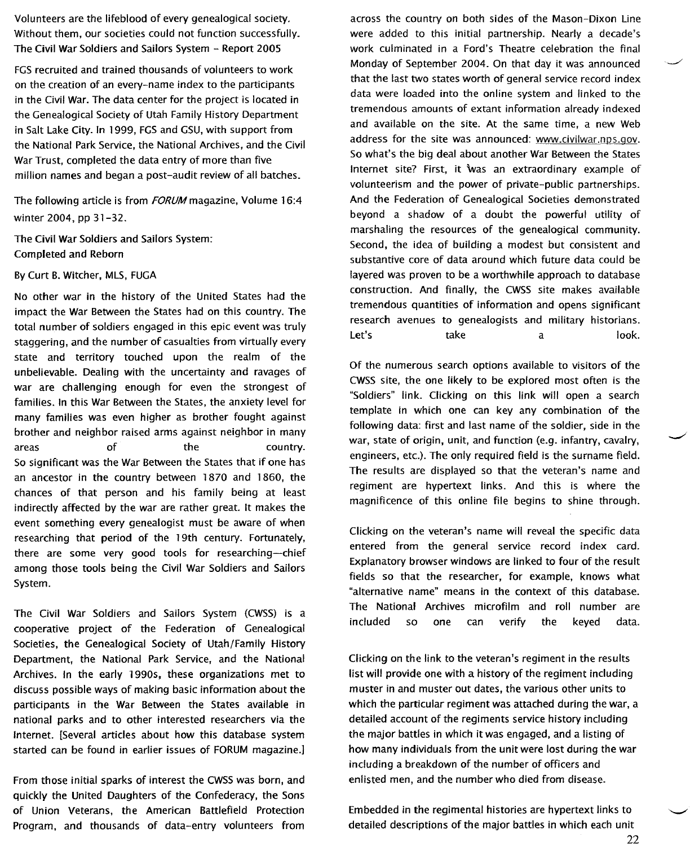Volunteers are the lifeblood of every genealogical society. Without them, our societies could not function successfully. The Civil War Soldiers and Sailors System - Report 2005

FGS recruited and trained thousands of volunteers to work on the creation of an every-name index to the participants in the Civil War. The data center for the project is located in the Genealogical Society of Utah Family History Department in Salt Lake City. In 1999, FGS and GSU, with support from the National Park Service, the National Archives, and the Civil War Trust, completed the data entry of more than five million names and began a post-audit review of all batches.

The following article is from FORUM magazine, Volume 16:4 winter 2004, pp 31-32.

The Civil War Soldiers and Sailors System: Completed and Reborn

By Curt B. Witcher, MLS, FUGA

No other war in the history of the United States had the impact the War Between the States had on this country. The total number of soldiers engaged in this epic event was truly staggering, and the number of casualties from virtually every state and territory touched upon the realm of the unbelievable. Dealing with the uncertainty and ravages of war are challenging enough for even the strongest of families. In this War Between the States, the anxiety level for many families was even higher as brother fought against brother and neighbor raised arms against neighbor in many areas of the country. So significant was the War Between the States that if one has an ancestor in the country between 1870 and 1860, the chances of that person and his family being at least indirectly affected by the war are rather great. It makes the event something every genealogist must be aware of when researching that period of the 19th century. Fortunately, there are some very good tools for researching--chief among those tools being the Civil War Soldiers and Sailors System.

The Civil War Soldiers and Sailors System (CWSS) is a cooperative project of the Federation of Genealogical Societies, the Genealogical Society of Utah/Family History Department, the National Park Service, and the National Archives. In the early 1990s, these organizations met to discuss possible ways of making basic information about the participants in the War Between the States available in national parks and to other interested researchers via the Internet. [Several articles about how this database system started can be found in earlier issues of FORUM magazine.]

From those initial sparks of interest the CWSS was born, and quickly the United Daughters of the Confederacy, the Sons of Union Veterans, the American Battlefield Protection Program, and thousands of data-entry volunteers from

across the country on both sides of the Mason-Dixon Line were added to this initial partnership. Nearly a decade's work culminated in a Ford's Theatre celebration the final Monday of September 2004. On that day it was announced that the last two states worth of general service record index data were loaded into the online system and linked to the tremendous amounts of extant information already indexed and available on the site. At the same time, a new Web address for the site was announced: www.civilwar.nps.gov. So what's the big deal about another War Between the States Internet site? First, it was an extraordinary example of volunteerism and the power of private-public partnerships. And the Federation of Genealogical Societies demonstrated beyond a shadow of a doubt the powerful utility of marshaling the resources of the genealogical community. Second, the idea of building a modest but consistent and substantive core of data around which future data could be layered was proven to be a worthwhile approach to database construction. And finally, the CWSS site makes available tremendous quantities of information and opens significant research avenues to genealogists and military historians. Let's take a look.

Of the numerous search options available to visitors of the CWSS site, the one likely to be explored most often is the "Soldiers" link. Clicking on this link will open a search template in which one can key any combination of the following data: first and last name of the soldier, side in the war, state of origin, unit, and function (e.g. infantry, cavalry, engineers, etc.). The only required field is the surname field. The results are displayed so that the veteran's name and regiment are hypertext links. And this is where the magnificence of this online file begins to shine through.

Clicking on the veteran's name will reveal the specific data entered from the general service record index card. Explanatory browser windows are linked to four of the result fields so that the researcher, for example, knows what "alternative name" means in the context of this database. The National Archives microfilm and roll number are included so one can verify the keyed data.

Clicking on the link to the veteran's regiment in the results list will provide one with a history of the regiment including muster in and muster out dates, the various other units to which the particular regiment was attached during the war, a detailed account of the regiments service history including the major battles in which it was engaged, and a listing of how many individuals from the unit were lost during the war including a breakdown of the number of officers and enlisted men, and the number who died from disease.

Embedded in the regimental histories are hypertext links to detailed descriptions of the major battles in which each unit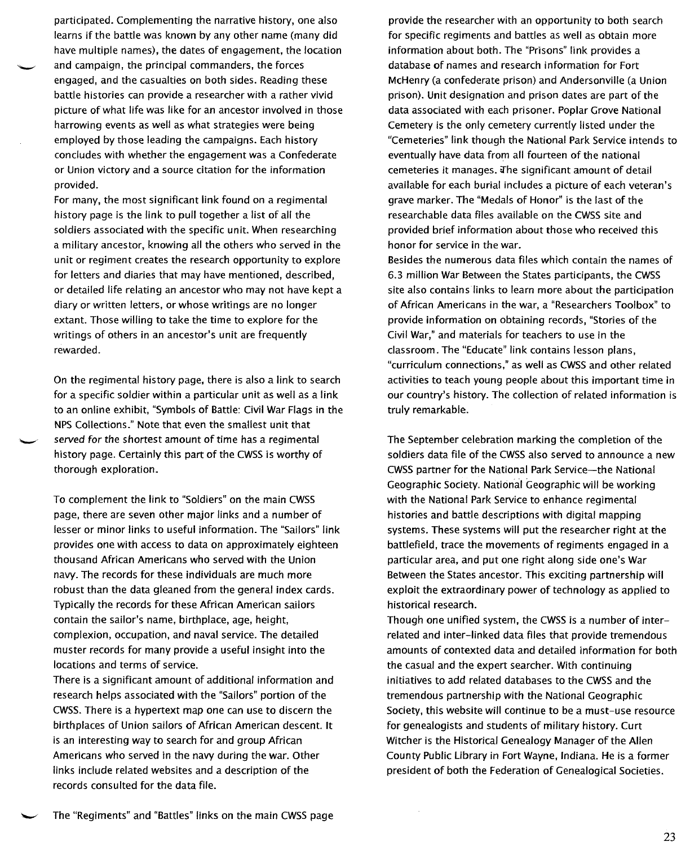participated. Complementing the narrative history, one also learns if the battle was known by any other name (many did have multiple names), the dates of engagement, the location and campaign, the principal commanders, the forces engaged, and the casualties on both sides. Reading these battle histories can provide a researcher with a rather vivid picture of what life was like for an ancestor involved in those harrowing events as well as what strategies were being employed by those leading the campaigns. Each history concludes with whether the engagement was a Confederate or Union victory and a source citation for the information provided.

For many, the most significant link found on a regimental history page is the link to pull together a list of all the soldiers associated with the specific unit. When researching a military ancestor, knowing all the others who served in the unit or regiment creates the research opportunity to explore for letters and diaries that may have mentioned, described, or detailed life relating an ancestor who may not have kept a diary or written letters, or whose writings are no longer extant. Those willing to take the time to explore for the writings of others in an ancestor's unit are frequently rewarded.

On the regimental history page, there is also a link to search for a specific soldier within a particular unit as well as a link to an online exhibit, "Symbols of Battle: Civil War Flags in the NPS Collections." Note that even the smallest unit that served for the shortest amount of time has a regimental history page. Certainly this part of the CWSS is worthy of thorough exploration.

To complement the link to "Soldiers" on the main CWSS page, there are seven other major links and a number of lesser or minor links to useful information. The "Sailors" link provides one with access to data on approximately eighteen thousand African Americans who served with the Union navy. The records for these individuals are much more robust than the data gleaned from the general index cards. Typically the records for these African American sailors contain the sailor's name, birthplace, age, height, complexion, occupation, and naval service. The detailed muster records for many provide a useful insight into the locations and terms of service.

There is a significant amount of additional information and research helps associated with the "Sailors" portion of the CWSS.There is a hypertext map one can use to discern the birthplaces of Union sailors of African American descent. It is an interesting way to search for and group African Americans who served in the navy during the war. Other links include related websites and a description of the records consulted for the data file.

provide the researcher with an opportunity to both search for specific regiments and battles as well as obtain more information about both. The "Prisons" link provides a database of names and research information for Fort McHenry (a confederate prison) and Andersonville (a Union prison). Unit designation and prison dates are part of the data associated with each prisoner. Poplar Grove National Cemetery is the only cemetery currently listed under the "Cemeteries" link though the National Park Service intends to eventually have data from all fourteen of the national cemeteries it manages. The significant amount of detail available for each burial includes a picture of each veteran's grave marker. The "Medals of Honor" is the last of the researchable data files available on the CWSS site and provided brief information about those who received this honor for service in the war.

Besides the numerous data files which contain the names of 6.3 million War Between the States participants, the CWSS site also contains links to learn more about the participation of African Americans in the war, a "Researchers Toolbox" to provide information on obtaining records, "Stories of the Civil War," and materials for teachers to use in the classroom. The "Educate" link contains lesson plans, "curriculum connections," as well as CWSSand other related activities to teach young people about this important time in our country's history. The collection of related information is truly remarkable.

The September celebration marking the completion of the soldiers data file of the CWSS also served to announce a new CWSS partner for the National Park Service-the National Geographic Society. Nationa' Geographic will be working with the National Park Service to enhance regimental histories and battle descriptions with digital mapping systems. These systems will put the researcher right at the battlefield, trace the movements of regiments engaged in a particular area, and put one right along side one's War Between the States ancestor. This exciting partnership will exploit the extraordinary power of technology as applied to historical research.

Though one unified system, the CWSSis a number of interrelated and inter-linked data files that provide tremendous amounts of contexted data and detailed information for both the casual and the expert searcher. With continuing initiatives to add related databases to the CWSS and the tremendous partnership with the National Geographic Society, this website will continue to be a must-use resource for genealogists and students of military history. Curt Witcher is the Historical Genealogy Manager of the Allen County Public Library in Fort Wayne, Indiana. He is a former president of both the Federation of Genealogical Societies.